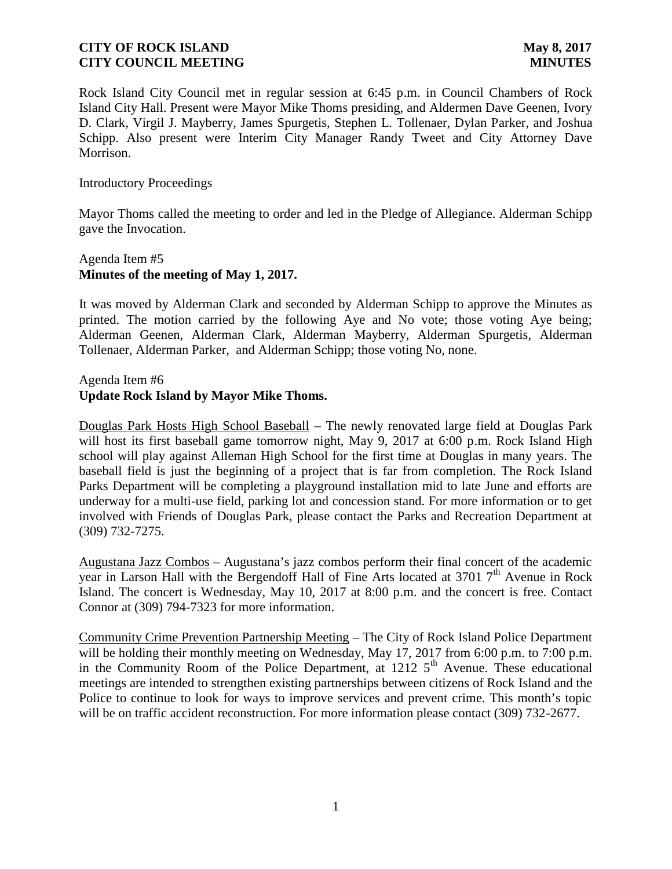Rock Island City Council met in regular session at 6:45 p.m. in Council Chambers of Rock Island City Hall. Present were Mayor Mike Thoms presiding, and Aldermen Dave Geenen, Ivory D. Clark, Virgil J. Mayberry, James Spurgetis, Stephen L. Tollenaer, Dylan Parker, and Joshua Schipp. Also present were Interim City Manager Randy Tweet and City Attorney Dave Morrison.

### Introductory Proceedings

Mayor Thoms called the meeting to order and led in the Pledge of Allegiance. Alderman Schipp gave the Invocation.

# Agenda Item #5 **Minutes of the meeting of May 1, 2017.**

It was moved by Alderman Clark and seconded by Alderman Schipp to approve the Minutes as printed. The motion carried by the following Aye and No vote; those voting Aye being; Alderman Geenen, Alderman Clark, Alderman Mayberry, Alderman Spurgetis, Alderman Tollenaer, Alderman Parker, and Alderman Schipp; those voting No, none.

### Agenda Item #6 **Update Rock Island by Mayor Mike Thoms.**

Douglas Park Hosts High School Baseball – The newly renovated large field at Douglas Park will host its first baseball game tomorrow night, May 9, 2017 at 6:00 p.m. Rock Island High school will play against Alleman High School for the first time at Douglas in many years. The baseball field is just the beginning of a project that is far from completion. The Rock Island Parks Department will be completing a playground installation mid to late June and efforts are underway for a multi-use field, parking lot and concession stand. For more information or to get involved with Friends of Douglas Park, please contact the Parks and Recreation Department at (309) 732-7275.

Augustana Jazz Combos – Augustana's jazz combos perform their final concert of the academic year in Larson Hall with the Bergendoff Hall of Fine Arts located at  $37017<sup>th</sup>$  Avenue in Rock Island. The concert is Wednesday, May 10, 2017 at 8:00 p.m. and the concert is free. Contact Connor at (309) 794-7323 for more information.

Community Crime Prevention Partnership Meeting – The City of Rock Island Police Department will be holding their monthly meeting on Wednesday, May 17, 2017 from 6:00 p.m. to 7:00 p.m. in the Community Room of the Police Department, at  $1212\,5^{th}$  Avenue. These educational meetings are intended to strengthen existing partnerships between citizens of Rock Island and the Police to continue to look for ways to improve services and prevent crime. This month's topic will be on traffic accident reconstruction. For more information please contact (309) 732-2677.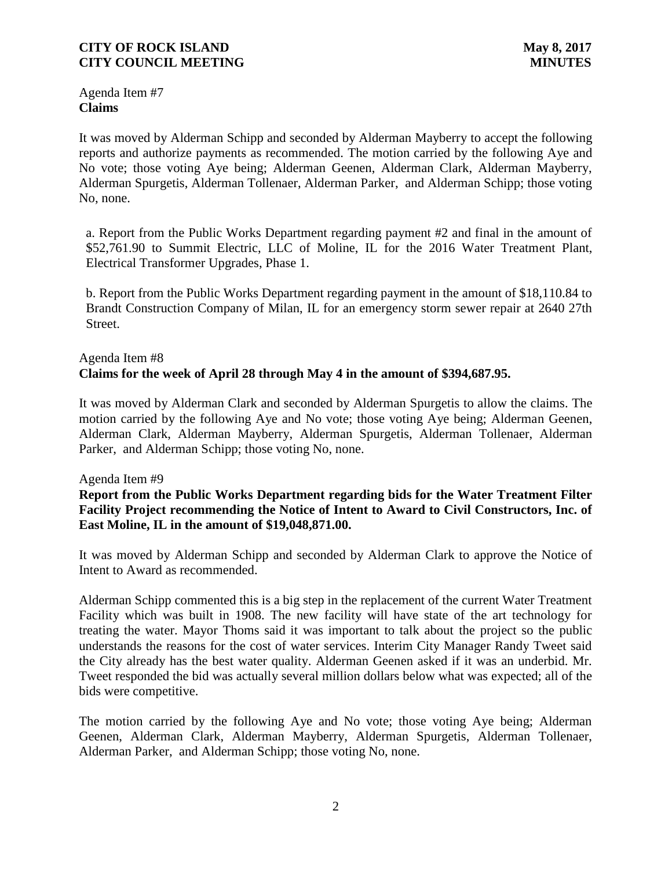Agenda Item #7 **Claims**

It was moved by Alderman Schipp and seconded by Alderman Mayberry to accept the following reports and authorize payments as recommended. The motion carried by the following Aye and No vote; those voting Aye being; Alderman Geenen, Alderman Clark, Alderman Mayberry, Alderman Spurgetis, Alderman Tollenaer, Alderman Parker, and Alderman Schipp; those voting No, none.

a. Report from the Public Works Department regarding payment #2 and final in the amount of \$52,761.90 to Summit Electric, LLC of Moline, IL for the 2016 Water Treatment Plant, Electrical Transformer Upgrades, Phase 1.

b. Report from the Public Works Department regarding payment in the amount of \$18,110.84 to Brandt Construction Company of Milan, IL for an emergency storm sewer repair at 2640 27th Street.

# Agenda Item #8 **Claims for the week of April 28 through May 4 in the amount of \$394,687.95.**

It was moved by Alderman Clark and seconded by Alderman Spurgetis to allow the claims. The motion carried by the following Aye and No vote; those voting Aye being; Alderman Geenen, Alderman Clark, Alderman Mayberry, Alderman Spurgetis, Alderman Tollenaer, Alderman Parker, and Alderman Schipp; those voting No, none.

### Agenda Item #9

# **Report from the Public Works Department regarding bids for the Water Treatment Filter Facility Project recommending the Notice of Intent to Award to Civil Constructors, Inc. of East Moline, IL in the amount of \$19,048,871.00.**

It was moved by Alderman Schipp and seconded by Alderman Clark to approve the Notice of Intent to Award as recommended.

Alderman Schipp commented this is a big step in the replacement of the current Water Treatment Facility which was built in 1908. The new facility will have state of the art technology for treating the water. Mayor Thoms said it was important to talk about the project so the public understands the reasons for the cost of water services. Interim City Manager Randy Tweet said the City already has the best water quality. Alderman Geenen asked if it was an underbid. Mr. Tweet responded the bid was actually several million dollars below what was expected; all of the bids were competitive.

The motion carried by the following Aye and No vote; those voting Aye being; Alderman Geenen, Alderman Clark, Alderman Mayberry, Alderman Spurgetis, Alderman Tollenaer, Alderman Parker, and Alderman Schipp; those voting No, none.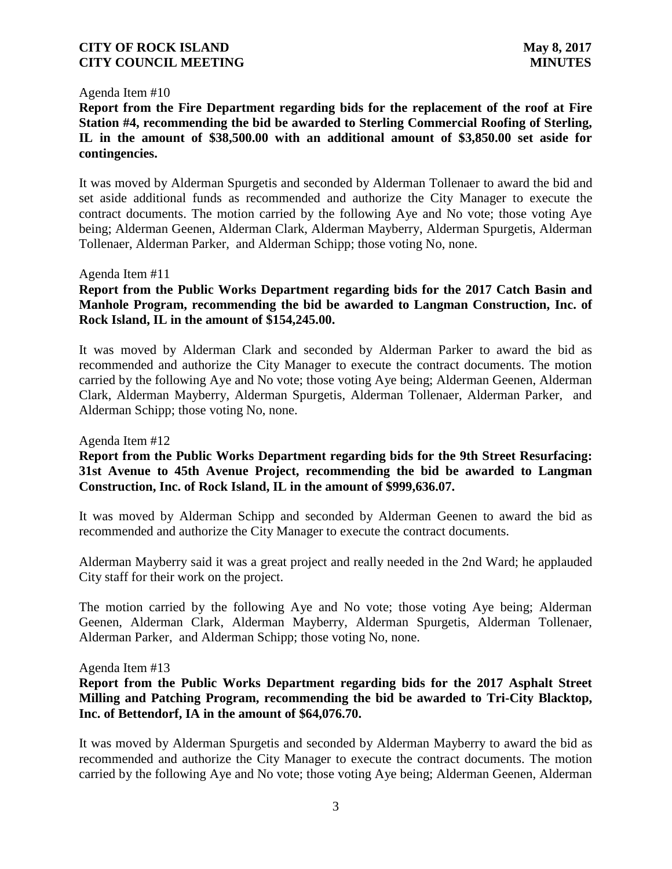### Agenda Item #10

**Report from the Fire Department regarding bids for the replacement of the roof at Fire Station #4, recommending the bid be awarded to Sterling Commercial Roofing of Sterling, IL in the amount of \$38,500.00 with an additional amount of \$3,850.00 set aside for contingencies.**

It was moved by Alderman Spurgetis and seconded by Alderman Tollenaer to award the bid and set aside additional funds as recommended and authorize the City Manager to execute the contract documents. The motion carried by the following Aye and No vote; those voting Aye being; Alderman Geenen, Alderman Clark, Alderman Mayberry, Alderman Spurgetis, Alderman Tollenaer, Alderman Parker, and Alderman Schipp; those voting No, none.

Agenda Item #11

## **Report from the Public Works Department regarding bids for the 2017 Catch Basin and Manhole Program, recommending the bid be awarded to Langman Construction, Inc. of Rock Island, IL in the amount of \$154,245.00.**

It was moved by Alderman Clark and seconded by Alderman Parker to award the bid as recommended and authorize the City Manager to execute the contract documents. The motion carried by the following Aye and No vote; those voting Aye being; Alderman Geenen, Alderman Clark, Alderman Mayberry, Alderman Spurgetis, Alderman Tollenaer, Alderman Parker, and Alderman Schipp; those voting No, none.

### Agenda Item #12

## **Report from the Public Works Department regarding bids for the 9th Street Resurfacing: 31st Avenue to 45th Avenue Project, recommending the bid be awarded to Langman Construction, Inc. of Rock Island, IL in the amount of \$999,636.07.**

It was moved by Alderman Schipp and seconded by Alderman Geenen to award the bid as recommended and authorize the City Manager to execute the contract documents.

Alderman Mayberry said it was a great project and really needed in the 2nd Ward; he applauded City staff for their work on the project.

The motion carried by the following Aye and No vote; those voting Aye being; Alderman Geenen, Alderman Clark, Alderman Mayberry, Alderman Spurgetis, Alderman Tollenaer, Alderman Parker, and Alderman Schipp; those voting No, none.

Agenda Item #13

## **Report from the Public Works Department regarding bids for the 2017 Asphalt Street Milling and Patching Program, recommending the bid be awarded to Tri-City Blacktop, Inc. of Bettendorf, IA in the amount of \$64,076.70.**

It was moved by Alderman Spurgetis and seconded by Alderman Mayberry to award the bid as recommended and authorize the City Manager to execute the contract documents. The motion carried by the following Aye and No vote; those voting Aye being; Alderman Geenen, Alderman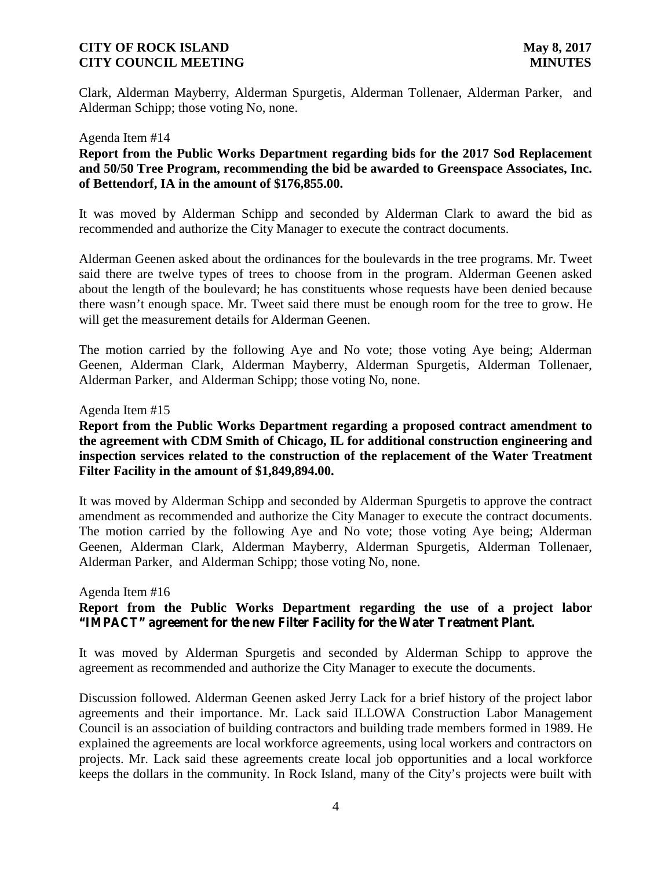Clark, Alderman Mayberry, Alderman Spurgetis, Alderman Tollenaer, Alderman Parker, and Alderman Schipp; those voting No, none.

#### Agenda Item #14

### **Report from the Public Works Department regarding bids for the 2017 Sod Replacement and 50/50 Tree Program, recommending the bid be awarded to Greenspace Associates, Inc. of Bettendorf, IA in the amount of \$176,855.00.**

It was moved by Alderman Schipp and seconded by Alderman Clark to award the bid as recommended and authorize the City Manager to execute the contract documents.

Alderman Geenen asked about the ordinances for the boulevards in the tree programs. Mr. Tweet said there are twelve types of trees to choose from in the program. Alderman Geenen asked about the length of the boulevard; he has constituents whose requests have been denied because there wasn't enough space. Mr. Tweet said there must be enough room for the tree to grow. He will get the measurement details for Alderman Geenen.

The motion carried by the following Aye and No vote; those voting Aye being; Alderman Geenen, Alderman Clark, Alderman Mayberry, Alderman Spurgetis, Alderman Tollenaer, Alderman Parker, and Alderman Schipp; those voting No, none.

#### Agenda Item #15

## **Report from the Public Works Department regarding a proposed contract amendment to the agreement with CDM Smith of Chicago, IL for additional construction engineering and inspection services related to the construction of the replacement of the Water Treatment Filter Facility in the amount of \$1,849,894.00.**

It was moved by Alderman Schipp and seconded by Alderman Spurgetis to approve the contract amendment as recommended and authorize the City Manager to execute the contract documents. The motion carried by the following Aye and No vote; those voting Aye being; Alderman Geenen, Alderman Clark, Alderman Mayberry, Alderman Spurgetis, Alderman Tollenaer, Alderman Parker, and Alderman Schipp; those voting No, none.

#### Agenda Item #16

# **Report from the Public Works Department regarding the use of a project labor "IMPACT" agreement for the new Filter Facility for the Water Treatment Plant.**

It was moved by Alderman Spurgetis and seconded by Alderman Schipp to approve the agreement as recommended and authorize the City Manager to execute the documents.

Discussion followed. Alderman Geenen asked Jerry Lack for a brief history of the project labor agreements and their importance. Mr. Lack said ILLOWA Construction Labor Management Council is an association of building contractors and building trade members formed in 1989. He explained the agreements are local workforce agreements, using local workers and contractors on projects. Mr. Lack said these agreements create local job opportunities and a local workforce keeps the dollars in the community. In Rock Island, many of the City's projects were built with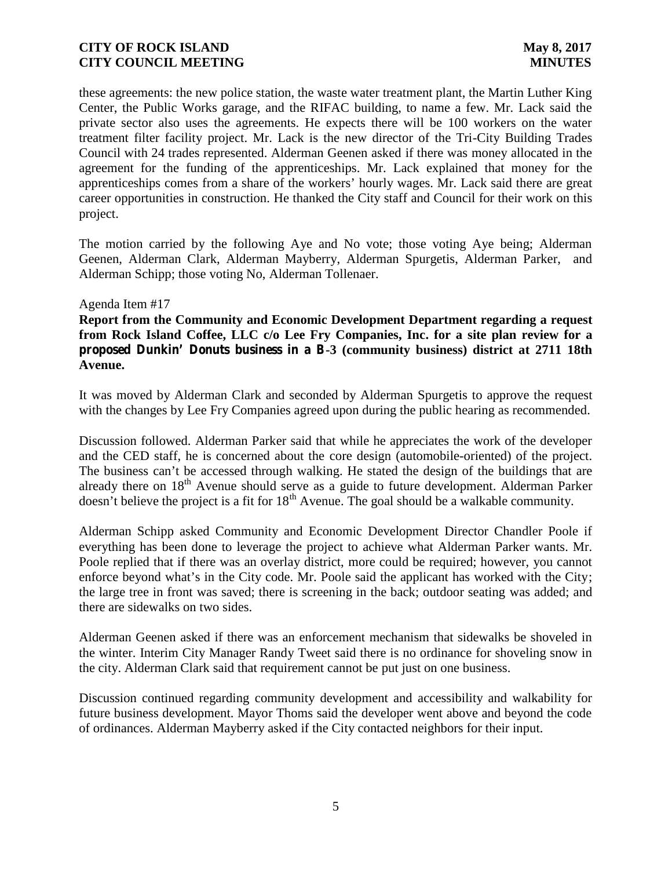these agreements: the new police station, the waste water treatment plant, the Martin Luther King Center, the Public Works garage, and the RIFAC building, to name a few. Mr. Lack said the private sector also uses the agreements. He expects there will be 100 workers on the water treatment filter facility project. Mr. Lack is the new director of the Tri-City Building Trades Council with 24 trades represented. Alderman Geenen asked if there was money allocated in the agreement for the funding of the apprenticeships. Mr. Lack explained that money for the apprenticeships comes from a share of the workers' hourly wages. Mr. Lack said there are great career opportunities in construction. He thanked the City staff and Council for their work on this project.

The motion carried by the following Aye and No vote; those voting Aye being; Alderman Geenen, Alderman Clark, Alderman Mayberry, Alderman Spurgetis, Alderman Parker, and Alderman Schipp; those voting No, Alderman Tollenaer.

#### Agenda Item #17

**Report from the Community and Economic Development Department regarding a request from Rock Island Coffee, LLC c/o Lee Fry Companies, Inc. for a site plan review for a proposed Dunkin' Donuts business in a B-3 (community business) district at 2711 18th Avenue.**

It was moved by Alderman Clark and seconded by Alderman Spurgetis to approve the request with the changes by Lee Fry Companies agreed upon during the public hearing as recommended.

Discussion followed. Alderman Parker said that while he appreciates the work of the developer and the CED staff, he is concerned about the core design (automobile-oriented) of the project. The business can't be accessed through walking. He stated the design of the buildings that are already there on  $18<sup>th</sup>$  Avenue should serve as a guide to future development. Alderman Parker  $\frac{d}{dx}$  doesn't believe the project is a fit for  $18^{\text{th}}$  Avenue. The goal should be a walkable community.

Alderman Schipp asked Community and Economic Development Director Chandler Poole if everything has been done to leverage the project to achieve what Alderman Parker wants. Mr. Poole replied that if there was an overlay district, more could be required; however, you cannot enforce beyond what's in the City code. Mr. Poole said the applicant has worked with the City; the large tree in front was saved; there is screening in the back; outdoor seating was added; and there are sidewalks on two sides.

Alderman Geenen asked if there was an enforcement mechanism that sidewalks be shoveled in the winter. Interim City Manager Randy Tweet said there is no ordinance for shoveling snow in the city. Alderman Clark said that requirement cannot be put just on one business.

Discussion continued regarding community development and accessibility and walkability for future business development. Mayor Thoms said the developer went above and beyond the code of ordinances. Alderman Mayberry asked if the City contacted neighbors for their input.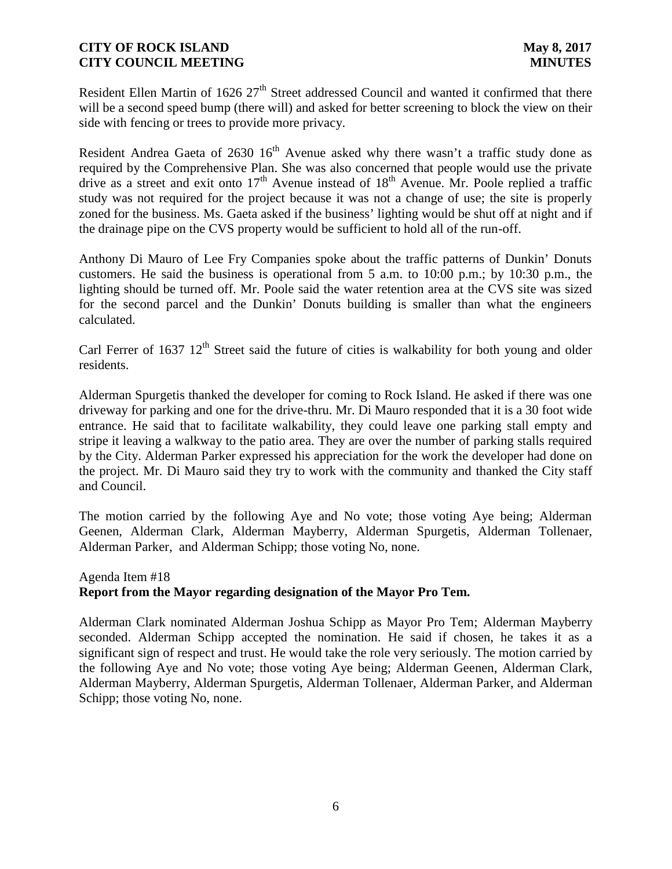Resident Ellen Martin of 1626  $27<sup>th</sup>$  Street addressed Council and wanted it confirmed that there will be a second speed bump (there will) and asked for better screening to block the view on their side with fencing or trees to provide more privacy.

Resident Andrea Gaeta of 2630  $16<sup>th</sup>$  Avenue asked why there wasn't a traffic study done as required by the Comprehensive Plan. She was also concerned that people would use the private drive as a street and exit onto  $17<sup>th</sup>$  Avenue instead of  $18<sup>th</sup>$  Avenue. Mr. Poole replied a traffic study was not required for the project because it was not a change of use; the site is properly zoned for the business. Ms. Gaeta asked if the business' lighting would be shut off at night and if the drainage pipe on the CVS property would be sufficient to hold all of the run-off.

Anthony Di Mauro of Lee Fry Companies spoke about the traffic patterns of Dunkin' Donuts customers. He said the business is operational from 5 a.m. to 10:00 p.m.; by 10:30 p.m., the lighting should be turned off. Mr. Poole said the water retention area at the CVS site was sized for the second parcel and the Dunkin' Donuts building is smaller than what the engineers calculated.

Carl Ferrer of 1637  $12<sup>th</sup>$  Street said the future of cities is walkability for both young and older residents.

Alderman Spurgetis thanked the developer for coming to Rock Island. He asked if there was one driveway for parking and one for the drive-thru. Mr. Di Mauro responded that it is a 30 foot wide entrance. He said that to facilitate walkability, they could leave one parking stall empty and stripe it leaving a walkway to the patio area. They are over the number of parking stalls required by the City. Alderman Parker expressed his appreciation for the work the developer had done on the project. Mr. Di Mauro said they try to work with the community and thanked the City staff and Council.

The motion carried by the following Aye and No vote; those voting Aye being; Alderman Geenen, Alderman Clark, Alderman Mayberry, Alderman Spurgetis, Alderman Tollenaer, Alderman Parker, and Alderman Schipp; those voting No, none.

# Agenda Item #18 **Report from the Mayor regarding designation of the Mayor Pro Tem.**

Alderman Clark nominated Alderman Joshua Schipp as Mayor Pro Tem; Alderman Mayberry seconded. Alderman Schipp accepted the nomination. He said if chosen, he takes it as a significant sign of respect and trust. He would take the role very seriously. The motion carried by the following Aye and No vote; those voting Aye being; Alderman Geenen, Alderman Clark, Alderman Mayberry, Alderman Spurgetis, Alderman Tollenaer, Alderman Parker, and Alderman Schipp; those voting No, none.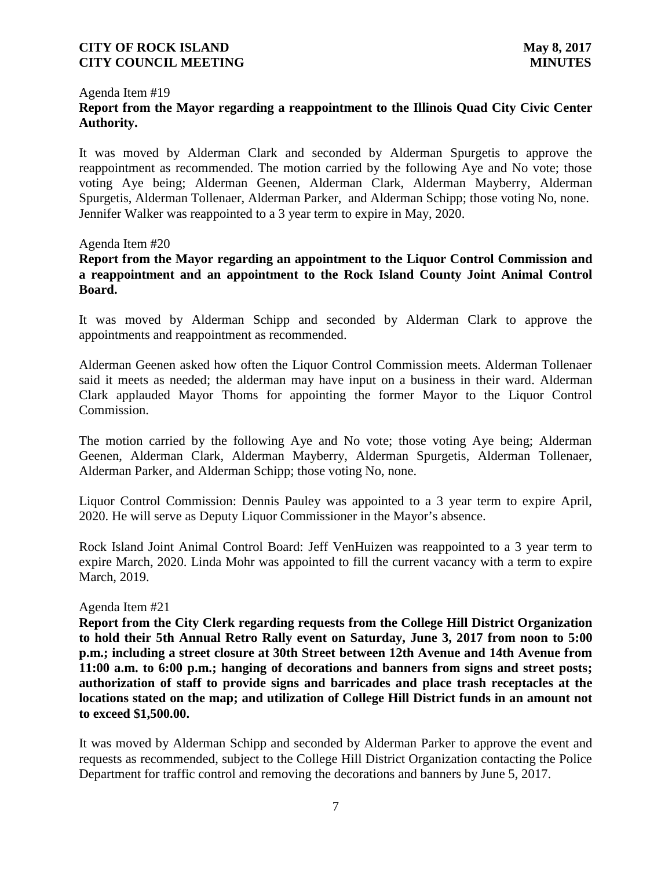## Agenda Item #19 **Report from the Mayor regarding a reappointment to the Illinois Quad City Civic Center Authority.**

It was moved by Alderman Clark and seconded by Alderman Spurgetis to approve the reappointment as recommended. The motion carried by the following Aye and No vote; those voting Aye being; Alderman Geenen, Alderman Clark, Alderman Mayberry, Alderman Spurgetis, Alderman Tollenaer, Alderman Parker, and Alderman Schipp; those voting No, none. Jennifer Walker was reappointed to a 3 year term to expire in May, 2020.

### Agenda Item #20

# **Report from the Mayor regarding an appointment to the Liquor Control Commission and a reappointment and an appointment to the Rock Island County Joint Animal Control Board.**

It was moved by Alderman Schipp and seconded by Alderman Clark to approve the appointments and reappointment as recommended.

Alderman Geenen asked how often the Liquor Control Commission meets. Alderman Tollenaer said it meets as needed; the alderman may have input on a business in their ward. Alderman Clark applauded Mayor Thoms for appointing the former Mayor to the Liquor Control Commission.

The motion carried by the following Aye and No vote; those voting Aye being; Alderman Geenen, Alderman Clark, Alderman Mayberry, Alderman Spurgetis, Alderman Tollenaer, Alderman Parker, and Alderman Schipp; those voting No, none.

Liquor Control Commission: Dennis Pauley was appointed to a 3 year term to expire April, 2020. He will serve as Deputy Liquor Commissioner in the Mayor's absence.

Rock Island Joint Animal Control Board: Jeff VenHuizen was reappointed to a 3 year term to expire March, 2020. Linda Mohr was appointed to fill the current vacancy with a term to expire March, 2019.

#### Agenda Item #21

**Report from the City Clerk regarding requests from the College Hill District Organization to hold their 5th Annual Retro Rally event on Saturday, June 3, 2017 from noon to 5:00 p.m.; including a street closure at 30th Street between 12th Avenue and 14th Avenue from 11:00 a.m. to 6:00 p.m.; hanging of decorations and banners from signs and street posts; authorization of staff to provide signs and barricades and place trash receptacles at the locations stated on the map; and utilization of College Hill District funds in an amount not to exceed \$1,500.00.**

It was moved by Alderman Schipp and seconded by Alderman Parker to approve the event and requests as recommended, subject to the College Hill District Organization contacting the Police Department for traffic control and removing the decorations and banners by June 5, 2017.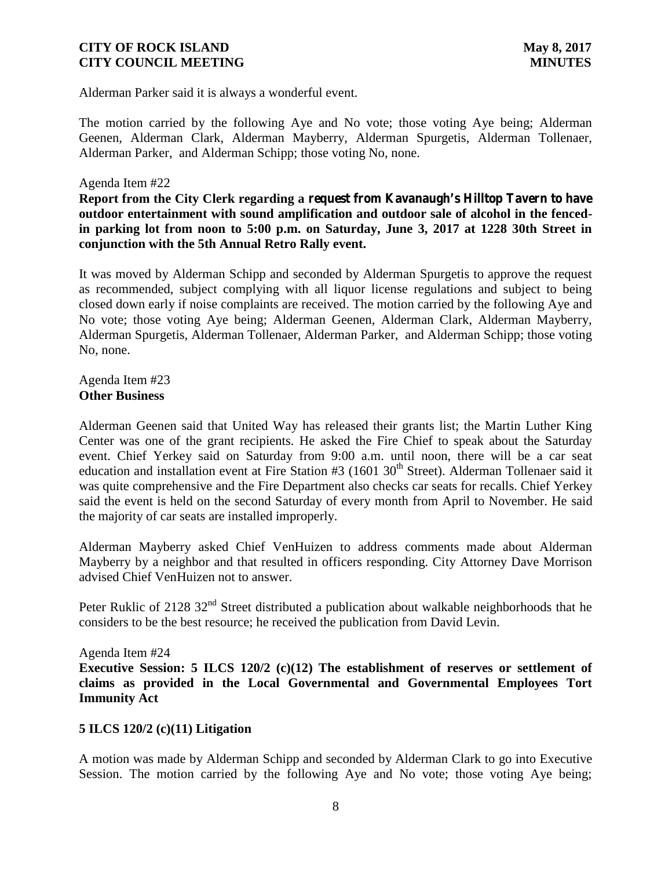Alderman Parker said it is always a wonderful event.

The motion carried by the following Aye and No vote; those voting Aye being; Alderman Geenen, Alderman Clark, Alderman Mayberry, Alderman Spurgetis, Alderman Tollenaer, Alderman Parker, and Alderman Schipp; those voting No, none.

### Agenda Item #22

**Report from the City Clerk regarding a request from Kavanaugh's Hilltop Tavern to have outdoor entertainment with sound amplification and outdoor sale of alcohol in the fencedin parking lot from noon to 5:00 p.m. on Saturday, June 3, 2017 at 1228 30th Street in conjunction with the 5th Annual Retro Rally event.**

It was moved by Alderman Schipp and seconded by Alderman Spurgetis to approve the request as recommended, subject complying with all liquor license regulations and subject to being closed down early if noise complaints are received. The motion carried by the following Aye and No vote; those voting Aye being; Alderman Geenen, Alderman Clark, Alderman Mayberry, Alderman Spurgetis, Alderman Tollenaer, Alderman Parker, and Alderman Schipp; those voting No, none.

Agenda Item #23 **Other Business**

Alderman Geenen said that United Way has released their grants list; the Martin Luther King Center was one of the grant recipients. He asked the Fire Chief to speak about the Saturday event. Chief Yerkey said on Saturday from 9:00 a.m. until noon, there will be a car seat education and installation event at Fire Station #3 (1601 30<sup>th</sup> Street). Alderman Tollenaer said it was quite comprehensive and the Fire Department also checks car seats for recalls. Chief Yerkey said the event is held on the second Saturday of every month from April to November. He said the majority of car seats are installed improperly.

Alderman Mayberry asked Chief VenHuizen to address comments made about Alderman Mayberry by a neighbor and that resulted in officers responding. City Attorney Dave Morrison advised Chief VenHuizen not to answer.

Peter Ruklic of 2128 32<sup>nd</sup> Street distributed a publication about walkable neighborhoods that he considers to be the best resource; he received the publication from David Levin.

#### Agenda Item #24

**Executive Session: 5 ILCS 120/2 (c)(12) The establishment of reserves or settlement of claims as provided in the Local Governmental and Governmental Employees Tort Immunity Act**

### **5 ILCS 120/2 (c)(11) Litigation**

A motion was made by Alderman Schipp and seconded by Alderman Clark to go into Executive Session. The motion carried by the following Aye and No vote; those voting Aye being;